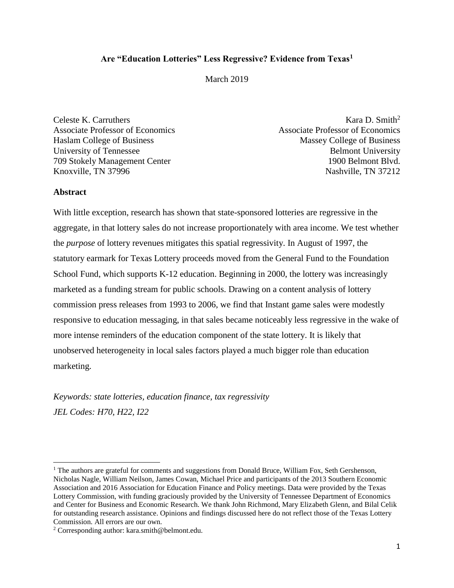# **Are "Education Lotteries" Less Regressive? Evidence from Texas<sup>1</sup>**

## March 2019

Celeste K. Carruthers Kara D. Smith<sup>2</sup> Associate Professor of Economics Associate Professor of Economics Haslam College of Business Massey College of Business University of Tennessee Belmont University 709 Stokely Management Center 1900 Belmont Blvd. Knoxville, TN 37996 Nashville, TN 37212

### **Abstract**

 $\overline{a}$ 

With little exception, research has shown that state-sponsored lotteries are regressive in the aggregate, in that lottery sales do not increase proportionately with area income. We test whether the *purpose* of lottery revenues mitigates this spatial regressivity. In August of 1997, the statutory earmark for Texas Lottery proceeds moved from the General Fund to the Foundation School Fund, which supports K-12 education. Beginning in 2000, the lottery was increasingly marketed as a funding stream for public schools. Drawing on a content analysis of lottery commission press releases from 1993 to 2006, we find that Instant game sales were modestly responsive to education messaging, in that sales became noticeably less regressive in the wake of more intense reminders of the education component of the state lottery. It is likely that unobserved heterogeneity in local sales factors played a much bigger role than education marketing.

*Keywords: state lotteries, education finance, tax regressivity JEL Codes: H70, H22, I22*

<sup>&</sup>lt;sup>1</sup> The authors are grateful for comments and suggestions from Donald Bruce, William Fox, Seth Gershenson, Nicholas Nagle, William Neilson, James Cowan, Michael Price and participants of the 2013 Southern Economic Association and 2016 Association for Education Finance and Policy meetings. Data were provided by the Texas Lottery Commission, with funding graciously provided by the University of Tennessee Department of Economics and Center for Business and Economic Research. We thank John Richmond, Mary Elizabeth Glenn, and Bilal Celik for outstanding research assistance. Opinions and findings discussed here do not reflect those of the Texas Lottery Commission. All errors are our own.

<sup>2</sup> Corresponding author: kara.smith@belmont.edu.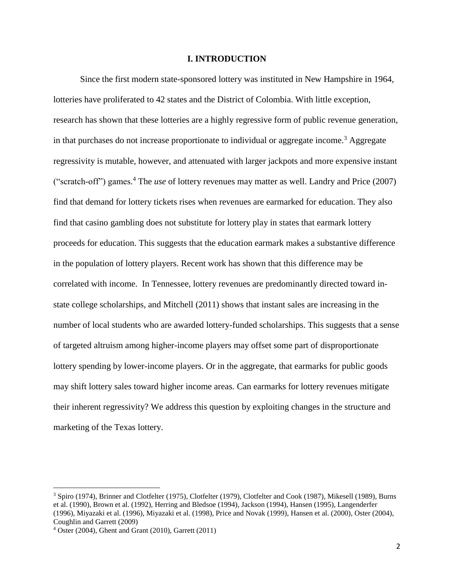### **I. INTRODUCTION**

Since the first modern state-sponsored lottery was instituted in New Hampshire in 1964, lotteries have proliferated to 42 states and the District of Colombia. With little exception, research has shown that these lotteries are a highly regressive form of public revenue generation, in that purchases do not increase proportionate to individual or aggregate income.<sup>3</sup> Aggregate regressivity is mutable, however, and attenuated with larger jackpots and more expensive instant ("scratch-off") games. <sup>4</sup> The *use* of lottery revenues may matter as well. Landry and Price (2007) find that demand for lottery tickets rises when revenues are earmarked for education. They also find that casino gambling does not substitute for lottery play in states that earmark lottery proceeds for education. This suggests that the education earmark makes a substantive difference in the population of lottery players. Recent work has shown that this difference may be correlated with income. In Tennessee, lottery revenues are predominantly directed toward instate college scholarships, and Mitchell (2011) shows that instant sales are increasing in the number of local students who are awarded lottery-funded scholarships. This suggests that a sense of targeted altruism among higher-income players may offset some part of disproportionate lottery spending by lower-income players. Or in the aggregate, that earmarks for public goods may shift lottery sales toward higher income areas. Can earmarks for lottery revenues mitigate their inherent regressivity? We address this question by exploiting changes in the structure and marketing of the Texas lottery.

 $\overline{a}$ 

<sup>3</sup> Spiro (1974), Brinner and Clotfelter (1975), Clotfelter (1979), Clotfelter and Cook (1987), Mikesell (1989), Burns et al. (1990), Brown et al. (1992), Herring and Bledsoe (1994), Jackson (1994), Hansen (1995), Langenderfer (1996), Miyazaki et al. (1996), Miyazaki et al. (1998), Price and Novak (1999), Hansen et al. (2000), Oster (2004), Coughlin and Garrett (2009)

<sup>4</sup> Oster (2004), Ghent and Grant (2010), Garrett (2011)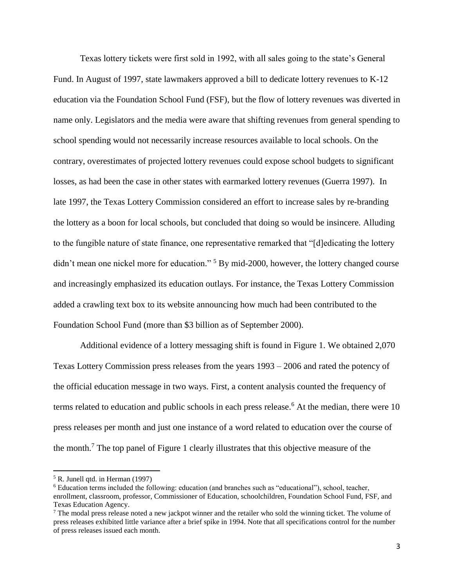Texas lottery tickets were first sold in 1992, with all sales going to the state's General Fund. In August of 1997, state lawmakers approved a bill to dedicate lottery revenues to K-12 education via the Foundation School Fund (FSF), but the flow of lottery revenues was diverted in name only. Legislators and the media were aware that shifting revenues from general spending to school spending would not necessarily increase resources available to local schools. On the contrary, overestimates of projected lottery revenues could expose school budgets to significant losses, as had been the case in other states with earmarked lottery revenues (Guerra 1997). In late 1997, the Texas Lottery Commission considered an effort to increase sales by re-branding the lottery as a boon for local schools, but concluded that doing so would be insincere. Alluding to the fungible nature of state finance, one representative remarked that "[d]edicating the lottery didn't mean one nickel more for education." <sup>5</sup> By mid-2000, however, the lottery changed course and increasingly emphasized its education outlays. For instance, the Texas Lottery Commission added a crawling text box to its website announcing how much had been contributed to the Foundation School Fund (more than \$3 billion as of September 2000).

Additional evidence of a lottery messaging shift is found in Figure 1. We obtained 2,070 Texas Lottery Commission press releases from the years 1993 – 2006 and rated the potency of the official education message in two ways. First, a content analysis counted the frequency of terms related to education and public schools in each press release.<sup>6</sup> At the median, there were 10 press releases per month and just one instance of a word related to education over the course of the month.<sup>7</sup> The top panel of Figure 1 clearly illustrates that this objective measure of the

 $<sup>5</sup>$  R. Junell qtd. in Herman (1997)</sup>

<sup>6</sup> Education terms included the following: education (and branches such as "educational"), school, teacher, enrollment, classroom, professor, Commissioner of Education, schoolchildren, Foundation School Fund, FSF, and Texas Education Agency.

<sup>&</sup>lt;sup>7</sup> The modal press release noted a new jackpot winner and the retailer who sold the winning ticket. The volume of press releases exhibited little variance after a brief spike in 1994. Note that all specifications control for the number of press releases issued each month.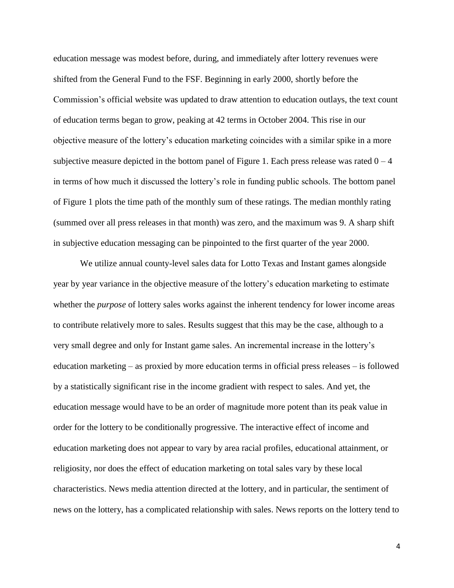education message was modest before, during, and immediately after lottery revenues were shifted from the General Fund to the FSF. Beginning in early 2000, shortly before the Commission's official website was updated to draw attention to education outlays, the text count of education terms began to grow, peaking at 42 terms in October 2004. This rise in our objective measure of the lottery's education marketing coincides with a similar spike in a more subjective measure depicted in the bottom panel of Figure 1. Each press release was rated  $0 - 4$ in terms of how much it discussed the lottery's role in funding public schools. The bottom panel of Figure 1 plots the time path of the monthly sum of these ratings. The median monthly rating (summed over all press releases in that month) was zero, and the maximum was 9. A sharp shift in subjective education messaging can be pinpointed to the first quarter of the year 2000.

We utilize annual county-level sales data for Lotto Texas and Instant games alongside year by year variance in the objective measure of the lottery's education marketing to estimate whether the *purpose* of lottery sales works against the inherent tendency for lower income areas to contribute relatively more to sales. Results suggest that this may be the case, although to a very small degree and only for Instant game sales. An incremental increase in the lottery's education marketing – as proxied by more education terms in official press releases – is followed by a statistically significant rise in the income gradient with respect to sales. And yet, the education message would have to be an order of magnitude more potent than its peak value in order for the lottery to be conditionally progressive. The interactive effect of income and education marketing does not appear to vary by area racial profiles, educational attainment, or religiosity, nor does the effect of education marketing on total sales vary by these local characteristics. News media attention directed at the lottery, and in particular, the sentiment of news on the lottery, has a complicated relationship with sales. News reports on the lottery tend to

4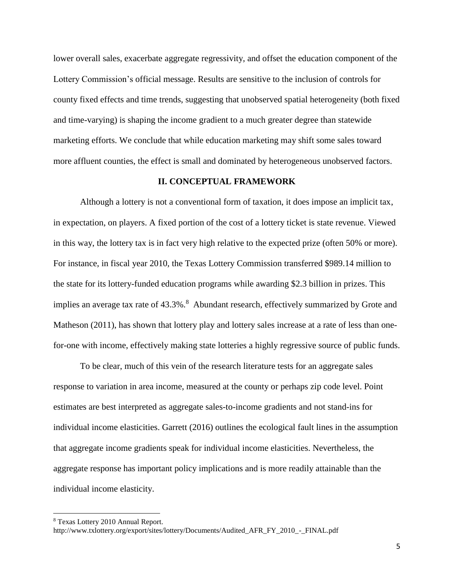lower overall sales, exacerbate aggregate regressivity, and offset the education component of the Lottery Commission's official message. Results are sensitive to the inclusion of controls for county fixed effects and time trends, suggesting that unobserved spatial heterogeneity (both fixed and time-varying) is shaping the income gradient to a much greater degree than statewide marketing efforts. We conclude that while education marketing may shift some sales toward more affluent counties, the effect is small and dominated by heterogeneous unobserved factors.

### **II. CONCEPTUAL FRAMEWORK**

Although a lottery is not a conventional form of taxation, it does impose an implicit tax, in expectation, on players. A fixed portion of the cost of a lottery ticket is state revenue. Viewed in this way, the lottery tax is in fact very high relative to the expected prize (often 50% or more). For instance, in fiscal year 2010, the Texas Lottery Commission transferred \$989.14 million to the state for its lottery-funded education programs while awarding \$2.3 billion in prizes. This implies an average tax rate of 43.3%.<sup>8</sup> Abundant research, effectively summarized by Grote and Matheson (2011), has shown that lottery play and lottery sales increase at a rate of less than onefor-one with income, effectively making state lotteries a highly regressive source of public funds.

To be clear, much of this vein of the research literature tests for an aggregate sales response to variation in area income, measured at the county or perhaps zip code level. Point estimates are best interpreted as aggregate sales-to-income gradients and not stand-ins for individual income elasticities. Garrett (2016) outlines the ecological fault lines in the assumption that aggregate income gradients speak for individual income elasticities. Nevertheless, the aggregate response has important policy implications and is more readily attainable than the individual income elasticity.

<sup>8</sup> Texas Lottery 2010 Annual Report.

http://www.txlottery.org/export/sites/lottery/Documents/Audited\_AFR\_FY\_2010\_-\_FINAL.pdf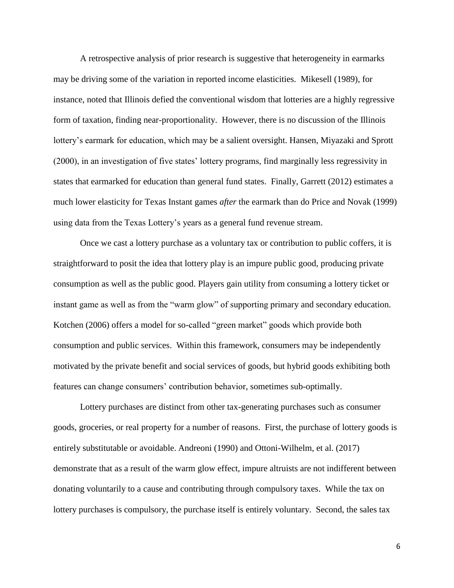A retrospective analysis of prior research is suggestive that heterogeneity in earmarks may be driving some of the variation in reported income elasticities. Mikesell (1989), for instance, noted that Illinois defied the conventional wisdom that lotteries are a highly regressive form of taxation, finding near-proportionality. However, there is no discussion of the Illinois lottery's earmark for education, which may be a salient oversight. Hansen, Miyazaki and Sprott (2000), in an investigation of five states' lottery programs, find marginally less regressivity in states that earmarked for education than general fund states. Finally, Garrett (2012) estimates a much lower elasticity for Texas Instant games *after* the earmark than do Price and Novak (1999) using data from the Texas Lottery's years as a general fund revenue stream.

Once we cast a lottery purchase as a voluntary tax or contribution to public coffers, it is straightforward to posit the idea that lottery play is an impure public good, producing private consumption as well as the public good. Players gain utility from consuming a lottery ticket or instant game as well as from the "warm glow" of supporting primary and secondary education. Kotchen (2006) offers a model for so-called "green market" goods which provide both consumption and public services. Within this framework, consumers may be independently motivated by the private benefit and social services of goods, but hybrid goods exhibiting both features can change consumers' contribution behavior, sometimes sub-optimally.

Lottery purchases are distinct from other tax-generating purchases such as consumer goods, groceries, or real property for a number of reasons. First, the purchase of lottery goods is entirely substitutable or avoidable. Andreoni (1990) and Ottoni-Wilhelm, et al. (2017) demonstrate that as a result of the warm glow effect, impure altruists are not indifferent between donating voluntarily to a cause and contributing through compulsory taxes. While the tax on lottery purchases is compulsory, the purchase itself is entirely voluntary. Second, the sales tax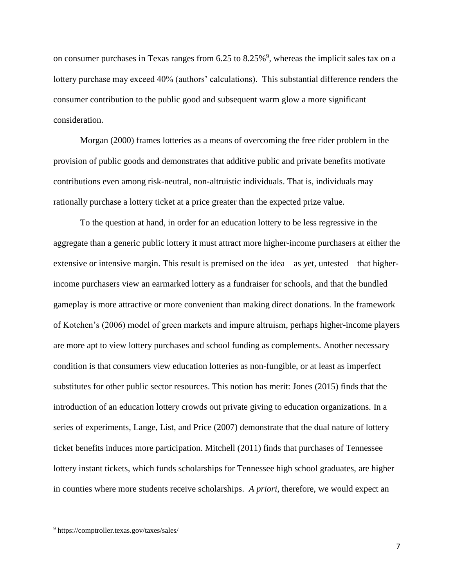on consumer purchases in Texas ranges from 6.25 to 8.25%<sup>9</sup>, whereas the implicit sales tax on a lottery purchase may exceed 40% (authors' calculations). This substantial difference renders the consumer contribution to the public good and subsequent warm glow a more significant consideration.

Morgan (2000) frames lotteries as a means of overcoming the free rider problem in the provision of public goods and demonstrates that additive public and private benefits motivate contributions even among risk-neutral, non-altruistic individuals. That is, individuals may rationally purchase a lottery ticket at a price greater than the expected prize value.

To the question at hand, in order for an education lottery to be less regressive in the aggregate than a generic public lottery it must attract more higher-income purchasers at either the extensive or intensive margin. This result is premised on the idea – as yet, untested – that higherincome purchasers view an earmarked lottery as a fundraiser for schools, and that the bundled gameplay is more attractive or more convenient than making direct donations. In the framework of Kotchen's (2006) model of green markets and impure altruism, perhaps higher-income players are more apt to view lottery purchases and school funding as complements. Another necessary condition is that consumers view education lotteries as non-fungible, or at least as imperfect substitutes for other public sector resources. This notion has merit: Jones (2015) finds that the introduction of an education lottery crowds out private giving to education organizations. In a series of experiments, Lange, List, and Price (2007) demonstrate that the dual nature of lottery ticket benefits induces more participation. Mitchell (2011) finds that purchases of Tennessee lottery instant tickets, which funds scholarships for Tennessee high school graduates, are higher in counties where more students receive scholarships. *A priori*, therefore, we would expect an

<sup>9</sup> https://comptroller.texas.gov/taxes/sales/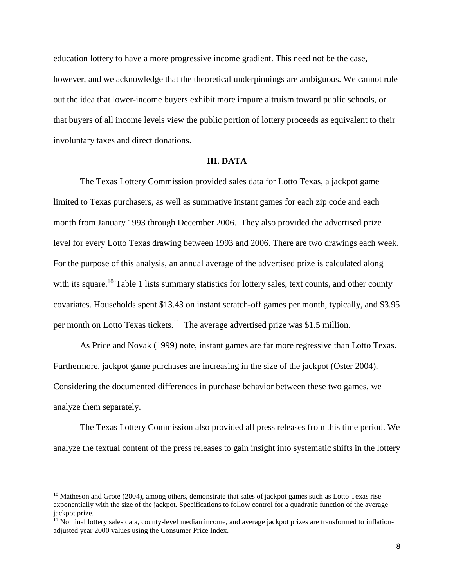education lottery to have a more progressive income gradient. This need not be the case, however, and we acknowledge that the theoretical underpinnings are ambiguous. We cannot rule out the idea that lower-income buyers exhibit more impure altruism toward public schools, or that buyers of all income levels view the public portion of lottery proceeds as equivalent to their involuntary taxes and direct donations.

#### **III. DATA**

The Texas Lottery Commission provided sales data for Lotto Texas, a jackpot game limited to Texas purchasers, as well as summative instant games for each zip code and each month from January 1993 through December 2006. They also provided the advertised prize level for every Lotto Texas drawing between 1993 and 2006. There are two drawings each week. For the purpose of this analysis, an annual average of the advertised prize is calculated along with its square.<sup>10</sup> Table 1 lists summary statistics for lottery sales, text counts, and other county covariates. Households spent \$13.43 on instant scratch-off games per month, typically, and \$3.95 per month on Lotto Texas tickets.<sup>11</sup> The average advertised prize was \$1.5 million.

As Price and Novak (1999) note, instant games are far more regressive than Lotto Texas. Furthermore, jackpot game purchases are increasing in the size of the jackpot (Oster 2004). Considering the documented differences in purchase behavior between these two games, we analyze them separately.

The Texas Lottery Commission also provided all press releases from this time period. We analyze the textual content of the press releases to gain insight into systematic shifts in the lottery

 $\overline{a}$ 

<sup>&</sup>lt;sup>10</sup> Matheson and Grote (2004), among others, demonstrate that sales of jackpot games such as Lotto Texas rise exponentially with the size of the jackpot. Specifications to follow control for a quadratic function of the average jackpot prize.

<sup>&</sup>lt;sup>11</sup> Nominal lottery sales data, county-level median income, and average jackpot prizes are transformed to inflationadjusted year 2000 values using the Consumer Price Index.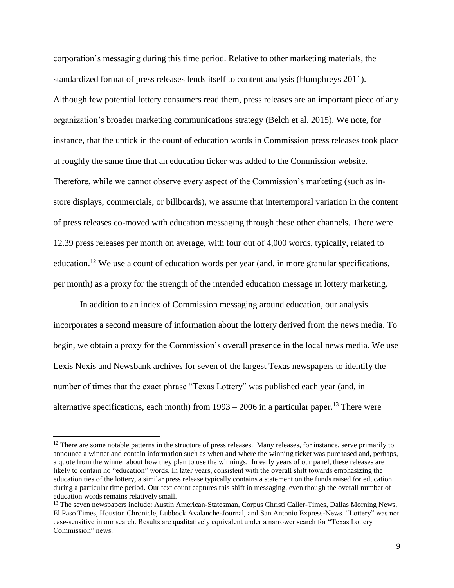corporation's messaging during this time period. Relative to other marketing materials, the standardized format of press releases lends itself to content analysis (Humphreys 2011). Although few potential lottery consumers read them, press releases are an important piece of any organization's broader marketing communications strategy (Belch et al. 2015). We note, for instance, that the uptick in the count of education words in Commission press releases took place at roughly the same time that an education ticker was added to the Commission website. Therefore, while we cannot observe every aspect of the Commission's marketing (such as instore displays, commercials, or billboards), we assume that intertemporal variation in the content of press releases co-moved with education messaging through these other channels. There were 12.39 press releases per month on average, with four out of 4,000 words, typically, related to education.<sup>12</sup> We use a count of education words per year (and, in more granular specifications, per month) as a proxy for the strength of the intended education message in lottery marketing.

In addition to an index of Commission messaging around education, our analysis incorporates a second measure of information about the lottery derived from the news media. To begin, we obtain a proxy for the Commission's overall presence in the local news media. We use Lexis Nexis and Newsbank archives for seven of the largest Texas newspapers to identify the number of times that the exact phrase "Texas Lottery" was published each year (and, in alternative specifications, each month) from  $1993 - 2006$  in a particular paper.<sup>13</sup> There were

 $12$  There are some notable patterns in the structure of press releases. Many releases, for instance, serve primarily to announce a winner and contain information such as when and where the winning ticket was purchased and, perhaps, a quote from the winner about how they plan to use the winnings. In early years of our panel, these releases are likely to contain no "education" words. In later years, consistent with the overall shift towards emphasizing the education ties of the lottery, a similar press release typically contains a statement on the funds raised for education during a particular time period. Our text count captures this shift in messaging, even though the overall number of education words remains relatively small.

<sup>&</sup>lt;sup>13</sup> The seven newspapers include: Austin American-Statesman, Corpus Christi Caller-Times, Dallas Morning News, El Paso Times, Houston Chronicle, Lubbock Avalanche-Journal, and San Antonio Express-News. "Lottery" was not case-sensitive in our search. Results are qualitatively equivalent under a narrower search for "Texas Lottery Commission" news.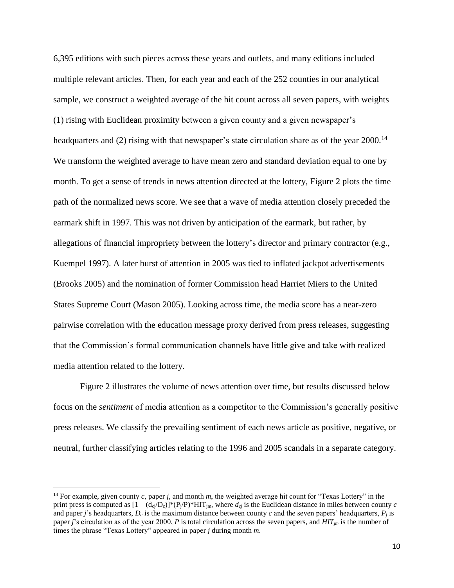6,395 editions with such pieces across these years and outlets, and many editions included multiple relevant articles. Then, for each year and each of the 252 counties in our analytical sample, we construct a weighted average of the hit count across all seven papers, with weights (1) rising with Euclidean proximity between a given county and a given newspaper's headquarters and (2) rising with that newspaper's state circulation share as of the year 2000.<sup>14</sup> We transform the weighted average to have mean zero and standard deviation equal to one by month. To get a sense of trends in news attention directed at the lottery, Figure 2 plots the time path of the normalized news score. We see that a wave of media attention closely preceded the earmark shift in 1997. This was not driven by anticipation of the earmark, but rather, by allegations of financial impropriety between the lottery's director and primary contractor (e.g., Kuempel 1997). A later burst of attention in 2005 was tied to inflated jackpot advertisements (Brooks 2005) and the nomination of former Commission head Harriet Miers to the United States Supreme Court (Mason 2005). Looking across time, the media score has a near-zero pairwise correlation with the education message proxy derived from press releases, suggesting that the Commission's formal communication channels have little give and take with realized media attention related to the lottery.

Figure 2 illustrates the volume of news attention over time, but results discussed below focus on the *sentiment* of media attention as a competitor to the Commission's generally positive press releases. We classify the prevailing sentiment of each news article as positive, negative, or neutral, further classifying articles relating to the 1996 and 2005 scandals in a separate category.

 $\overline{a}$ 

<sup>14</sup> For example, given county *c*, paper *j*, and month *m*, the weighted average hit count for "Texas Lottery" in the print press is computed as  $[1 - (d_{ci}/D_c)]^*(P_i/P)^*$ HIT<sub>im</sub>, where  $d_{ci}$  is the Euclidean distance in miles between county *c* and paper *j*'s headquarters,  $D_c$  is the maximum distance between county *c* and the seven papers' headquarters,  $P_i$  is paper *j*'s circulation as of the year 2000, *P* is total circulation across the seven papers, and *HITjm* is the number of times the phrase "Texas Lottery" appeared in paper *j* during month *m*.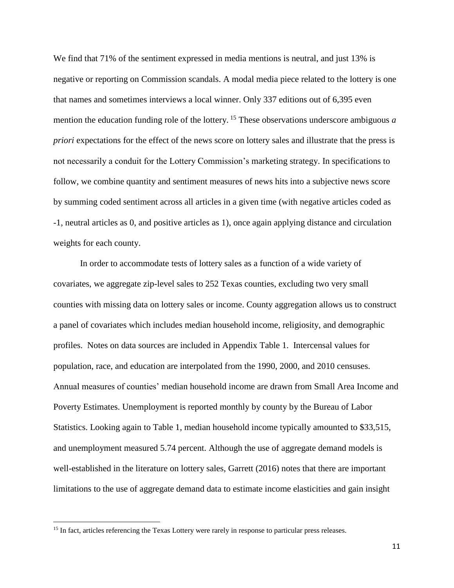We find that 71% of the sentiment expressed in media mentions is neutral, and just 13% is negative or reporting on Commission scandals. A modal media piece related to the lottery is one that names and sometimes interviews a local winner. Only 337 editions out of 6,395 even mention the education funding role of the lottery. <sup>15</sup> These observations underscore ambiguous *a priori* expectations for the effect of the news score on lottery sales and illustrate that the press is not necessarily a conduit for the Lottery Commission's marketing strategy. In specifications to follow, we combine quantity and sentiment measures of news hits into a subjective news score by summing coded sentiment across all articles in a given time (with negative articles coded as -1, neutral articles as 0, and positive articles as 1), once again applying distance and circulation weights for each county.

In order to accommodate tests of lottery sales as a function of a wide variety of covariates, we aggregate zip-level sales to 252 Texas counties, excluding two very small counties with missing data on lottery sales or income. County aggregation allows us to construct a panel of covariates which includes median household income, religiosity, and demographic profiles. Notes on data sources are included in Appendix Table 1. Intercensal values for population, race, and education are interpolated from the 1990, 2000, and 2010 censuses. Annual measures of counties' median household income are drawn from Small Area Income and Poverty Estimates. Unemployment is reported monthly by county by the Bureau of Labor Statistics. Looking again to Table 1, median household income typically amounted to \$33,515, and unemployment measured 5.74 percent. Although the use of aggregate demand models is well-established in the literature on lottery sales, Garrett (2016) notes that there are important limitations to the use of aggregate demand data to estimate income elasticities and gain insight

<sup>&</sup>lt;sup>15</sup> In fact, articles referencing the Texas Lottery were rarely in response to particular press releases.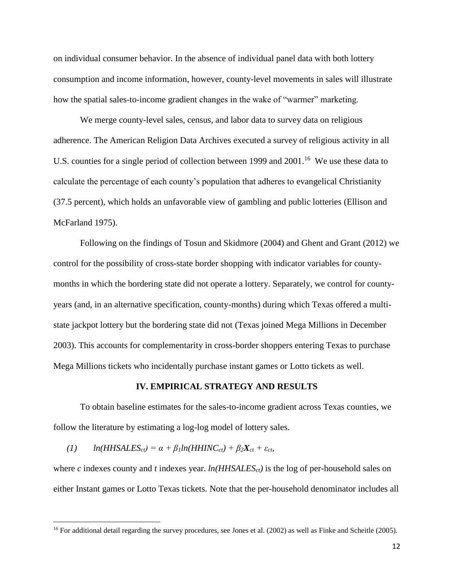on individual consumer behavior. In the absence of individual panel data with both lottery consumption and income information, however, county-level movements in sales will illustrate how the spatial sales-to-income gradient changes in the wake of "warmer" marketing.

We merge county-level sales, census, and labor data to survey data on religious adherence. The American Religion Data Archives executed a survey of religious activity in all U.S. counties for a single period of collection between 1999 and 2001.<sup>16</sup> We use these data to calculate the percentage of each county's population that adheres to evangelical Christianity (37.5 percent), which holds an unfavorable view of gambling and public lotteries (Ellison and McFarland 1975).

Following on the findings of Tosun and Skidmore (2004) and Ghent and Grant (2012) we control for the possibility of cross-state border shopping with indicator variables for countymonths in which the bordering state did not operate a lottery. Separately, we control for countyyears (and, in an alternative specification, county-months) during which Texas offered a multistate jackpot lottery but the bordering state did not (Texas joined Mega Millions in December 2003). This accounts for complementarity in cross-border shoppers entering Texas to purchase Mega Millions tickets who incidentally purchase instant games or Lotto tickets as well.

### **IV. EMPIRICAL STRATEGY AND RESULTS**

To obtain baseline estimates for the sales-to-income gradient across Texas counties, we follow the literature by estimating a log-log model of lottery sales.

### $(1)$  *ln*(*HHSALES*<sub>*ct</sub>* $) = \alpha + \beta_1 ln(HHINC_{ct}) + \beta_2 X_{ct} + \varepsilon_{ct}$ *,*</sub>

 $\overline{\phantom{a}}$ 

where *c* indexes county and *t* indexes year. *ln(HHSALESct)* is the log of per-household sales on either Instant games or Lotto Texas tickets. Note that the per-household denominator includes all

 $16$  For additional detail regarding the survey procedures, see Jones et al. (2002) as well as Finke and Scheitle (2005).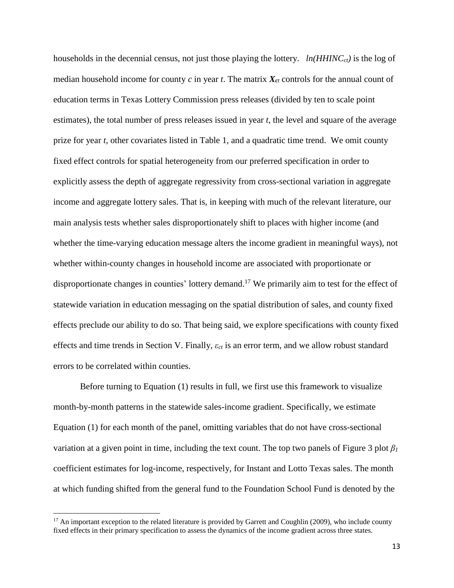households in the decennial census, not just those playing the lottery. *ln(HHINCct)* is the log of median household income for county  $c$  in year  $t$ . The matrix  $X_{ct}$  controls for the annual count of education terms in Texas Lottery Commission press releases (divided by ten to scale point estimates), the total number of press releases issued in year *t*, the level and square of the average prize for year *t*, other covariates listed in Table 1, and a quadratic time trend. We omit county fixed effect controls for spatial heterogeneity from our preferred specification in order to explicitly assess the depth of aggregate regressivity from cross-sectional variation in aggregate income and aggregate lottery sales. That is, in keeping with much of the relevant literature, our main analysis tests whether sales disproportionately shift to places with higher income (and whether the time-varying education message alters the income gradient in meaningful ways), not whether within-county changes in household income are associated with proportionate or disproportionate changes in counties' lottery demand.<sup>17</sup> We primarily aim to test for the effect of statewide variation in education messaging on the spatial distribution of sales, and county fixed effects preclude our ability to do so. That being said, we explore specifications with county fixed effects and time trends in Section V. Finally, *εct* is an error term, and we allow robust standard errors to be correlated within counties.

Before turning to Equation (1) results in full, we first use this framework to visualize month-by-month patterns in the statewide sales-income gradient. Specifically, we estimate Equation (1) for each month of the panel, omitting variables that do not have cross-sectional variation at a given point in time, including the text count. The top two panels of Figure 3 plot *β<sup>1</sup>* coefficient estimates for log-income, respectively, for Instant and Lotto Texas sales. The month at which funding shifted from the general fund to the Foundation School Fund is denoted by the

 $17$  An important exception to the related literature is provided by Garrett and Coughlin (2009), who include county fixed effects in their primary specification to assess the dynamics of the income gradient across three states.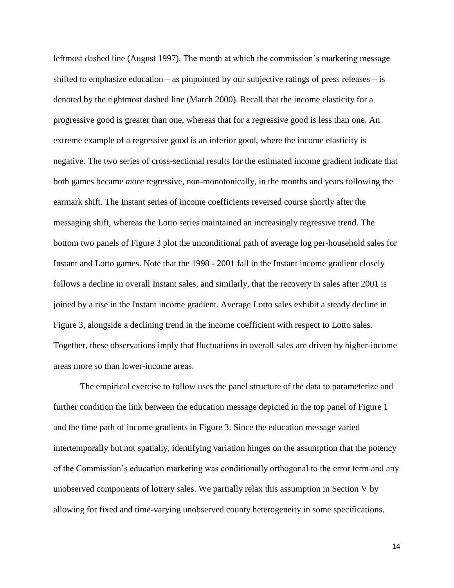leftmost dashed line (August 1997). The month at which the commission's marketing message shifted to emphasize education – as pinpointed by our subjective ratings of press releases – is denoted by the rightmost dashed line (March 2000). Recall that the income elasticity for a progressive good is greater than one, whereas that for a regressive good is less than one. An extreme example of a regressive good is an inferior good, where the income elasticity is negative. The two series of cross-sectional results for the estimated income gradient indicate that both games became *more* regressive, non-monotonically, in the months and years following the earmark shift. The Instant series of income coefficients reversed course shortly after the messaging shift, whereas the Lotto series maintained an increasingly regressive trend. The bottom two panels of Figure 3 plot the unconditional path of average log per-household sales for Instant and Lotto games. Note that the 1998 - 2001 fall in the Instant income gradient closely follows a decline in overall Instant sales, and similarly, that the recovery in sales after 2001 is joined by a rise in the Instant income gradient. Average Lotto sales exhibit a steady decline in Figure 3, alongside a declining trend in the income coefficient with respect to Lotto sales. Together, these observations imply that fluctuations in overall sales are driven by higher-income areas more so than lower-income areas.

The empirical exercise to follow uses the panel structure of the data to parameterize and further condition the link between the education message depicted in the top panel of Figure 1 and the time path of income gradients in Figure 3. Since the education message varied intertemporally but not spatially, identifying variation hinges on the assumption that the potency of the Commission's education marketing was conditionally orthogonal to the error term and any unobserved components of lottery sales. We partially relax this assumption in Section V by allowing for fixed and time-varying unobserved county heterogeneity in some specifications.

14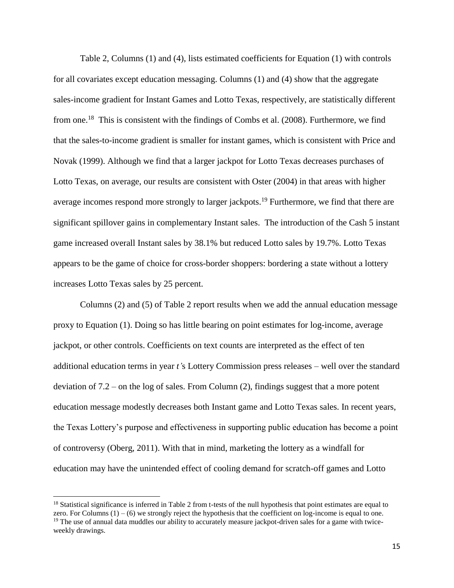Table 2, Columns (1) and (4), lists estimated coefficients for Equation (1) with controls for all covariates except education messaging. Columns (1) and (4) show that the aggregate sales-income gradient for Instant Games and Lotto Texas, respectively, are statistically different from one.<sup>18</sup> This is consistent with the findings of Combs et al. (2008). Furthermore, we find that the sales-to-income gradient is smaller for instant games, which is consistent with Price and Novak (1999). Although we find that a larger jackpot for Lotto Texas decreases purchases of Lotto Texas, on average, our results are consistent with Oster (2004) in that areas with higher average incomes respond more strongly to larger jackpots.<sup>19</sup> Furthermore, we find that there are significant spillover gains in complementary Instant sales. The introduction of the Cash 5 instant game increased overall Instant sales by 38.1% but reduced Lotto sales by 19.7%. Lotto Texas appears to be the game of choice for cross-border shoppers: bordering a state without a lottery increases Lotto Texas sales by 25 percent.

Columns (2) and (5) of Table 2 report results when we add the annual education message proxy to Equation (1). Doing so has little bearing on point estimates for log-income, average jackpot, or other controls. Coefficients on text counts are interpreted as the effect of ten additional education terms in year *t'*s Lottery Commission press releases – well over the standard deviation of 7.2 – on the log of sales. From Column (2), findings suggest that a more potent education message modestly decreases both Instant game and Lotto Texas sales. In recent years, the Texas Lottery's purpose and effectiveness in supporting public education has become a point of controversy (Oberg, 2011). With that in mind, marketing the lottery as a windfall for education may have the unintended effect of cooling demand for scratch-off games and Lotto

 $18$  Statistical significance is inferred in Table 2 from t-tests of the null hypothesis that point estimates are equal to zero. For Columns  $(1) - (6)$  we strongly reject the hypothesis that the coefficient on log-income is equal to one.  $19$  The use of annual data muddles our ability to accurately measure jackpot-driven sales for a game with twiceweekly drawings.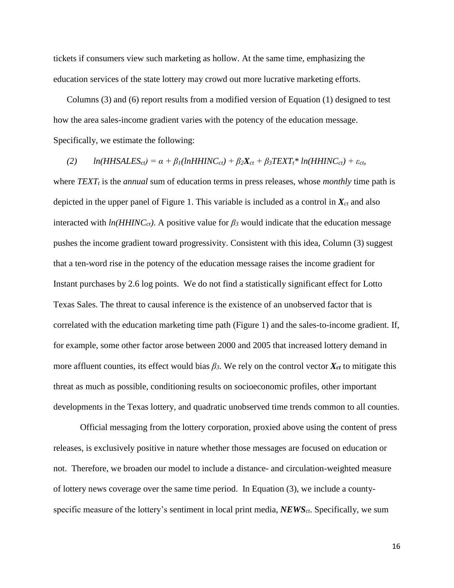tickets if consumers view such marketing as hollow. At the same time, emphasizing the education services of the state lottery may crowd out more lucrative marketing efforts.

Columns (3) and (6) report results from a modified version of Equation (1) designed to test how the area sales-income gradient varies with the potency of the education message. Specifically, we estimate the following:

(2)  $ln(HHSALES_{ct}) = \alpha + \beta_1(lnHHINC_{ct}) + \beta_2 X_{ct} + \beta_3 TEXT_t * ln(HHINC_{ct}) + \varepsilon_{ct}$ 

where *TEXT<sup>t</sup>* is the *annual* sum of education terms in press releases, whose *monthly* time path is depicted in the upper panel of Figure 1. This variable is included as a control in  $X<sub>ct</sub>$  and also interacted with  $ln(HHINC<sub>ct</sub>)$ . A positive value for  $\beta_3$  would indicate that the education message pushes the income gradient toward progressivity. Consistent with this idea, Column (3) suggest that a ten-word rise in the potency of the education message raises the income gradient for Instant purchases by 2.6 log points. We do not find a statistically significant effect for Lotto Texas Sales. The threat to causal inference is the existence of an unobserved factor that is correlated with the education marketing time path (Figure 1) and the sales-to-income gradient. If, for example, some other factor arose between 2000 and 2005 that increased lottery demand in more affluent counties, its effect would bias  $\beta_3$ . We rely on the control vector  $X_{ct}$  to mitigate this threat as much as possible, conditioning results on socioeconomic profiles, other important developments in the Texas lottery, and quadratic unobserved time trends common to all counties.

Official messaging from the lottery corporation, proxied above using the content of press releases, is exclusively positive in nature whether those messages are focused on education or not. Therefore, we broaden our model to include a distance- and circulation-weighted measure of lottery news coverage over the same time period. In Equation (3), we include a countyspecific measure of the lottery's sentiment in local print media, *NEWSct*. Specifically, we sum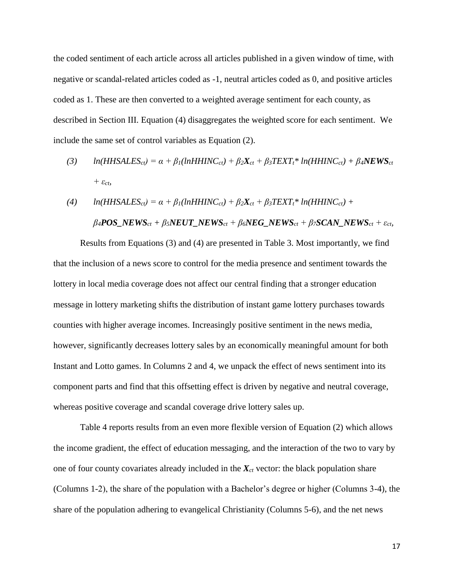the coded sentiment of each article across all articles published in a given window of time, with negative or scandal-related articles coded as -1, neutral articles coded as 0, and positive articles coded as 1. These are then converted to a weighted average sentiment for each county, as described in Section III. Equation (4) disaggregates the weighted score for each sentiment. We include the same set of control variables as Equation (2).

(3) 
$$
ln(HHS ALES_{ct}) = \alpha + \beta_1(lnHHINC_{ct}) + \beta_2 X_{ct} + \beta_3 TEXT_t * ln(HHINC_{ct}) + \beta_4 NEWS_{ct}
$$

$$
+ \varepsilon_{ct},
$$

(4) 
$$
ln(HHS ALES_{ct}) = \alpha + \beta_1(lnHHINC_{ct}) + \beta_2 X_{ct} + \beta_3 TEXT_t * ln(HHINC_{ct}) +
$$

$$
\beta_4 POS\_NEWS_{ct} + \beta_5 NEUT\_NEWS_{ct} + \beta_6 NEG\_NEWS_{ct} + \beta_7 SCAN\_NEWS_{ct} + \varepsilon_{ct},
$$

Results from Equations (3) and (4) are presented in Table 3. Most importantly, we find that the inclusion of a news score to control for the media presence and sentiment towards the lottery in local media coverage does not affect our central finding that a stronger education message in lottery marketing shifts the distribution of instant game lottery purchases towards counties with higher average incomes. Increasingly positive sentiment in the news media, however, significantly decreases lottery sales by an economically meaningful amount for both Instant and Lotto games. In Columns 2 and 4, we unpack the effect of news sentiment into its component parts and find that this offsetting effect is driven by negative and neutral coverage, whereas positive coverage and scandal coverage drive lottery sales up.

Table 4 reports results from an even more flexible version of Equation (2) which allows the income gradient, the effect of education messaging, and the interaction of the two to vary by one of four county covariates already included in the  $X<sub>ct</sub>$  vector: the black population share (Columns 1-2), the share of the population with a Bachelor's degree or higher (Columns 3-4), the share of the population adhering to evangelical Christianity (Columns 5-6), and the net news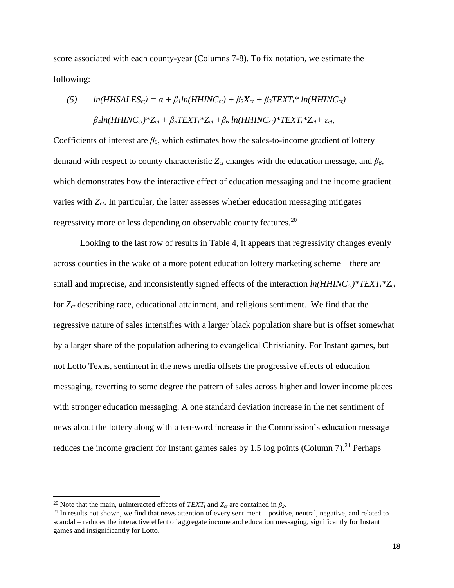score associated with each county-year (Columns 7-8). To fix notation, we estimate the following:

(5) 
$$
ln(HHSALES_{ct}) = \alpha + \beta_1 ln(HHINC_{ct}) + \beta_2 X_{ct} + \beta_3 TEXT_t * ln(HHINC_{ct})
$$

$$
\beta_4 ln(HHINC_{ct}) * Z_{ct} + \beta_5 TEXT_t * Z_{ct} + \beta_6 ln(HHINC_{ct}) * TEXT_t * Z_{ct} + \varepsilon_{ct},
$$

Coefficients of interest are  $\beta_5$ , which estimates how the sales-to-income gradient of lottery demand with respect to county characteristic *Zct* changes with the education message, and *β6*, which demonstrates how the interactive effect of education messaging and the income gradient varies with *Zct*. In particular, the latter assesses whether education messaging mitigates regressivity more or less depending on observable county features.<sup>20</sup>

Looking to the last row of results in Table 4, it appears that regressivity changes evenly across counties in the wake of a more potent education lottery marketing scheme – there are small and imprecise, and inconsistently signed effects of the interaction *ln(HHINCct)\*TEXTt\*Zct* for *Zct* describing race, educational attainment, and religious sentiment. We find that the regressive nature of sales intensifies with a larger black population share but is offset somewhat by a larger share of the population adhering to evangelical Christianity. For Instant games, but not Lotto Texas, sentiment in the news media offsets the progressive effects of education messaging, reverting to some degree the pattern of sales across higher and lower income places with stronger education messaging. A one standard deviation increase in the net sentiment of news about the lottery along with a ten-word increase in the Commission's education message reduces the income gradient for Instant games sales by 1.5 log points (Column 7).<sup>21</sup> Perhaps

<sup>&</sup>lt;sup>20</sup> Note that the main, uninteracted effects of  $TEXT_t$  and  $Z_{ct}$  are contained in  $\beta_2$ .

 $21$  In results not shown, we find that news attention of every sentiment – positive, neutral, negative, and related to scandal – reduces the interactive effect of aggregate income and education messaging, significantly for Instant games and insignificantly for Lotto.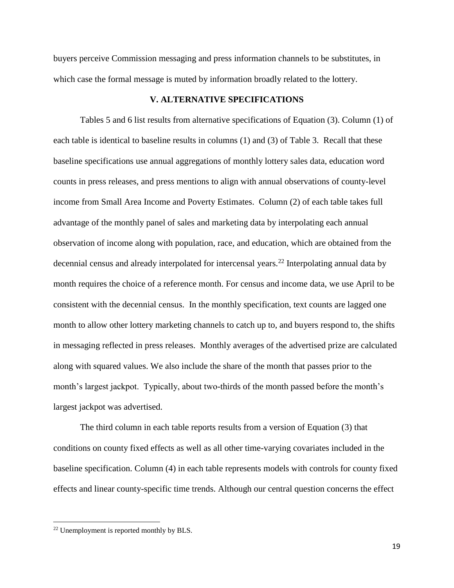buyers perceive Commission messaging and press information channels to be substitutes, in which case the formal message is muted by information broadly related to the lottery.

### **V. ALTERNATIVE SPECIFICATIONS**

Tables 5 and 6 list results from alternative specifications of Equation (3). Column (1) of each table is identical to baseline results in columns (1) and (3) of Table 3. Recall that these baseline specifications use annual aggregations of monthly lottery sales data, education word counts in press releases, and press mentions to align with annual observations of county-level income from Small Area Income and Poverty Estimates. Column (2) of each table takes full advantage of the monthly panel of sales and marketing data by interpolating each annual observation of income along with population, race, and education, which are obtained from the decennial census and already interpolated for intercensal years.<sup>22</sup> Interpolating annual data by month requires the choice of a reference month. For census and income data, we use April to be consistent with the decennial census. In the monthly specification, text counts are lagged one month to allow other lottery marketing channels to catch up to, and buyers respond to, the shifts in messaging reflected in press releases. Monthly averages of the advertised prize are calculated along with squared values. We also include the share of the month that passes prior to the month's largest jackpot. Typically, about two-thirds of the month passed before the month's largest jackpot was advertised.

The third column in each table reports results from a version of Equation (3) that conditions on county fixed effects as well as all other time-varying covariates included in the baseline specification. Column (4) in each table represents models with controls for county fixed effects and linear county-specific time trends. Although our central question concerns the effect

<sup>&</sup>lt;sup>22</sup> Unemployment is reported monthly by BLS.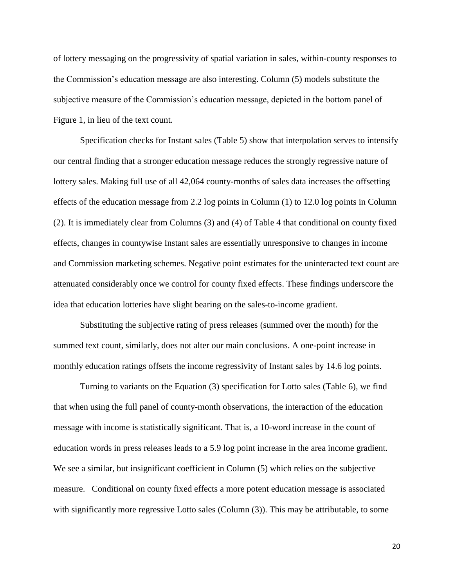of lottery messaging on the progressivity of spatial variation in sales, within-county responses to the Commission's education message are also interesting. Column (5) models substitute the subjective measure of the Commission's education message, depicted in the bottom panel of Figure 1, in lieu of the text count.

Specification checks for Instant sales (Table 5) show that interpolation serves to intensify our central finding that a stronger education message reduces the strongly regressive nature of lottery sales. Making full use of all 42,064 county-months of sales data increases the offsetting effects of the education message from 2.2 log points in Column (1) to 12.0 log points in Column (2). It is immediately clear from Columns (3) and (4) of Table 4 that conditional on county fixed effects, changes in countywise Instant sales are essentially unresponsive to changes in income and Commission marketing schemes. Negative point estimates for the uninteracted text count are attenuated considerably once we control for county fixed effects. These findings underscore the idea that education lotteries have slight bearing on the sales-to-income gradient.

Substituting the subjective rating of press releases (summed over the month) for the summed text count, similarly, does not alter our main conclusions. A one-point increase in monthly education ratings offsets the income regressivity of Instant sales by 14.6 log points.

Turning to variants on the Equation (3) specification for Lotto sales (Table 6), we find that when using the full panel of county-month observations, the interaction of the education message with income is statistically significant. That is, a 10-word increase in the count of education words in press releases leads to a 5.9 log point increase in the area income gradient. We see a similar, but insignificant coefficient in Column  $(5)$  which relies on the subjective measure. Conditional on county fixed effects a more potent education message is associated with significantly more regressive Lotto sales (Column (3)). This may be attributable, to some

20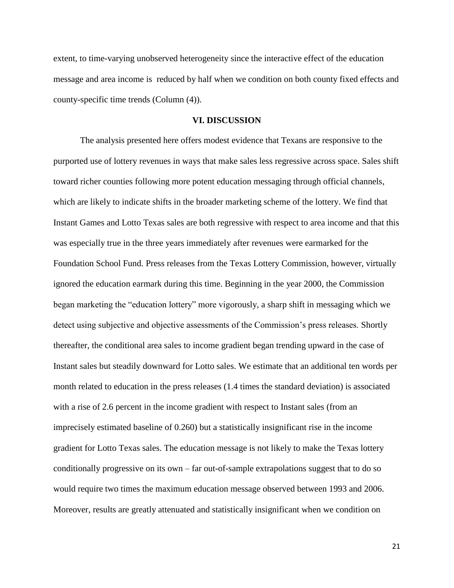extent, to time-varying unobserved heterogeneity since the interactive effect of the education message and area income is reduced by half when we condition on both county fixed effects and county-specific time trends (Column (4)).

### **VI. DISCUSSION**

The analysis presented here offers modest evidence that Texans are responsive to the purported use of lottery revenues in ways that make sales less regressive across space. Sales shift toward richer counties following more potent education messaging through official channels, which are likely to indicate shifts in the broader marketing scheme of the lottery. We find that Instant Games and Lotto Texas sales are both regressive with respect to area income and that this was especially true in the three years immediately after revenues were earmarked for the Foundation School Fund. Press releases from the Texas Lottery Commission, however, virtually ignored the education earmark during this time. Beginning in the year 2000, the Commission began marketing the "education lottery" more vigorously, a sharp shift in messaging which we detect using subjective and objective assessments of the Commission's press releases. Shortly thereafter, the conditional area sales to income gradient began trending upward in the case of Instant sales but steadily downward for Lotto sales. We estimate that an additional ten words per month related to education in the press releases (1.4 times the standard deviation) is associated with a rise of 2.6 percent in the income gradient with respect to Instant sales (from an imprecisely estimated baseline of 0.260) but a statistically insignificant rise in the income gradient for Lotto Texas sales. The education message is not likely to make the Texas lottery conditionally progressive on its own – far out-of-sample extrapolations suggest that to do so would require two times the maximum education message observed between 1993 and 2006. Moreover, results are greatly attenuated and statistically insignificant when we condition on

21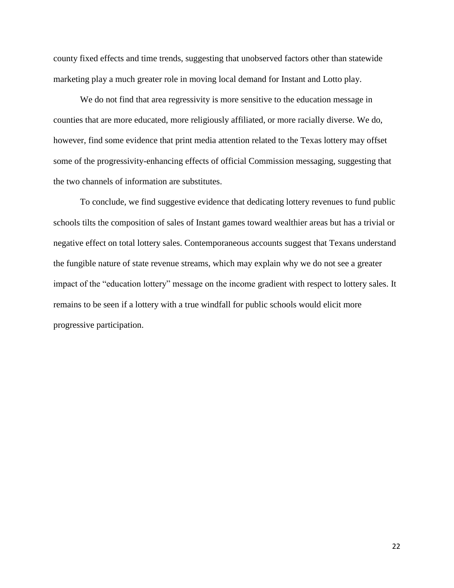county fixed effects and time trends, suggesting that unobserved factors other than statewide marketing play a much greater role in moving local demand for Instant and Lotto play.

We do not find that area regressivity is more sensitive to the education message in counties that are more educated, more religiously affiliated, or more racially diverse. We do, however, find some evidence that print media attention related to the Texas lottery may offset some of the progressivity-enhancing effects of official Commission messaging, suggesting that the two channels of information are substitutes.

To conclude, we find suggestive evidence that dedicating lottery revenues to fund public schools tilts the composition of sales of Instant games toward wealthier areas but has a trivial or negative effect on total lottery sales. Contemporaneous accounts suggest that Texans understand the fungible nature of state revenue streams, which may explain why we do not see a greater impact of the "education lottery" message on the income gradient with respect to lottery sales. It remains to be seen if a lottery with a true windfall for public schools would elicit more progressive participation.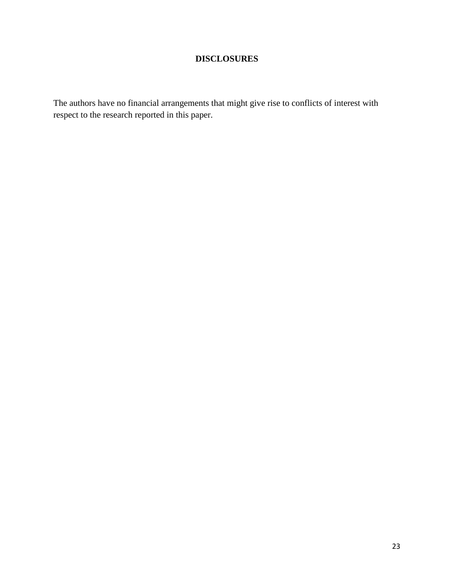# **DISCLOSURES**

The authors have no financial arrangements that might give rise to conflicts of interest with respect to the research reported in this paper.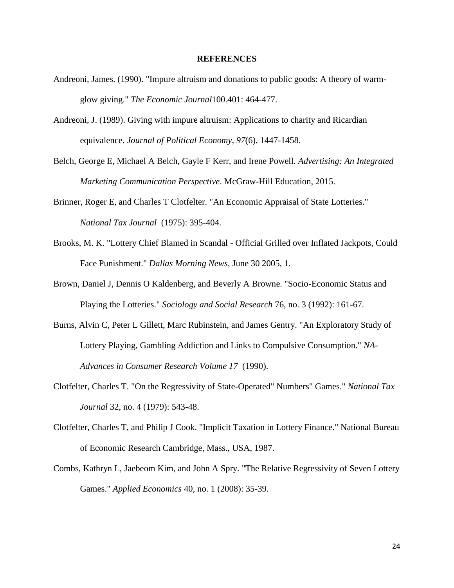#### **REFERENCES**

- Andreoni, James. (1990). "Impure altruism and donations to public goods: A theory of warmglow giving." *The Economic Journal*100.401: 464-477.
- Andreoni, J. (1989). Giving with impure altruism: Applications to charity and Ricardian equivalence. *Journal of Political Economy*, *97*(6), 1447-1458.
- Belch, George E, Michael A Belch, Gayle F Kerr, and Irene Powell. *Advertising: An Integrated Marketing Communication Perspective*. McGraw-Hill Education, 2015.
- Brinner, Roger E, and Charles T Clotfelter. "An Economic Appraisal of State Lotteries." *National Tax Journal* (1975): 395-404.
- Brooks, M. K. "Lottery Chief Blamed in Scandal Official Grilled over Inflated Jackpots, Could Face Punishment." *Dallas Morning News*, June 30 2005, 1.
- Brown, Daniel J, Dennis O Kaldenberg, and Beverly A Browne. "Socio-Economic Status and Playing the Lotteries." *Sociology and Social Research* 76, no. 3 (1992): 161-67.
- Burns, Alvin C, Peter L Gillett, Marc Rubinstein, and James Gentry. "An Exploratory Study of Lottery Playing, Gambling Addiction and Links to Compulsive Consumption." *NA-Advances in Consumer Research Volume 17* (1990).
- Clotfelter, Charles T. "On the Regressivity of State-Operated" Numbers" Games." *National Tax Journal* 32, no. 4 (1979): 543-48.
- Clotfelter, Charles T, and Philip J Cook. "Implicit Taxation in Lottery Finance." National Bureau of Economic Research Cambridge, Mass., USA, 1987.
- Combs, Kathryn L, Jaebeom Kim, and John A Spry. "The Relative Regressivity of Seven Lottery Games." *Applied Economics* 40, no. 1 (2008): 35-39.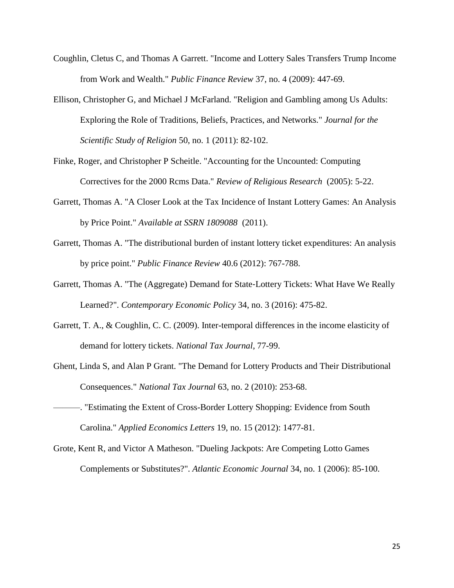- Coughlin, Cletus C, and Thomas A Garrett. "Income and Lottery Sales Transfers Trump Income from Work and Wealth." *Public Finance Review* 37, no. 4 (2009): 447-69.
- Ellison, Christopher G, and Michael J McFarland. "Religion and Gambling among Us Adults: Exploring the Role of Traditions, Beliefs, Practices, and Networks." *Journal for the Scientific Study of Religion* 50, no. 1 (2011): 82-102.
- Finke, Roger, and Christopher P Scheitle. "Accounting for the Uncounted: Computing Correctives for the 2000 Rcms Data." *Review of Religious Research* (2005): 5-22.
- Garrett, Thomas A. "A Closer Look at the Tax Incidence of Instant Lottery Games: An Analysis by Price Point." *Available at SSRN 1809088* (2011).
- Garrett, Thomas A. "The distributional burden of instant lottery ticket expenditures: An analysis by price point." *Public Finance Review* 40.6 (2012): 767-788.
- Garrett, Thomas A. "The (Aggregate) Demand for State‐Lottery Tickets: What Have We Really Learned?". *Contemporary Economic Policy* 34, no. 3 (2016): 475-82.
- Garrett, T. A., & Coughlin, C. C. (2009). Inter-temporal differences in the income elasticity of demand for lottery tickets. *National Tax Journal*, 77-99.
- Ghent, Linda S, and Alan P Grant. "The Demand for Lottery Products and Their Distributional Consequences." *National Tax Journal* 63, no. 2 (2010): 253-68.
- ———. "Estimating the Extent of Cross-Border Lottery Shopping: Evidence from South Carolina." *Applied Economics Letters* 19, no. 15 (2012): 1477-81.
- Grote, Kent R, and Victor A Matheson. "Dueling Jackpots: Are Competing Lotto Games Complements or Substitutes?". *Atlantic Economic Journal* 34, no. 1 (2006): 85-100.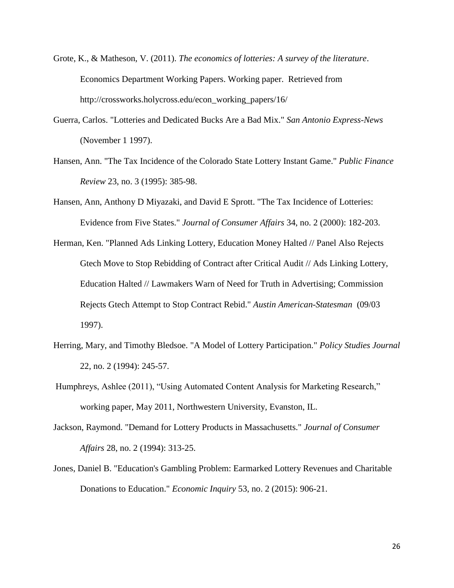- Grote, K., & Matheson, V. (2011). *The economics of lotteries: A survey of the literature*. Economics Department Working Papers. Working paper. Retrieved from http://crossworks.holycross.edu/econ\_working\_papers/16/
- Guerra, Carlos. "Lotteries and Dedicated Bucks Are a Bad Mix." *San Antonio Express-News*  (November 1 1997).
- Hansen, Ann. "The Tax Incidence of the Colorado State Lottery Instant Game." *Public Finance Review* 23, no. 3 (1995): 385-98.
- Hansen, Ann, Anthony D Miyazaki, and David E Sprott. "The Tax Incidence of Lotteries: Evidence from Five States." *Journal of Consumer Affairs* 34, no. 2 (2000): 182-203.
- Herman, Ken. "Planned Ads Linking Lottery, Education Money Halted // Panel Also Rejects Gtech Move to Stop Rebidding of Contract after Critical Audit // Ads Linking Lottery, Education Halted // Lawmakers Warn of Need for Truth in Advertising; Commission Rejects Gtech Attempt to Stop Contract Rebid." *Austin American-Statesman* (09/03 1997).
- Herring, Mary, and Timothy Bledsoe. "A Model of Lottery Participation." *Policy Studies Journal*  22, no. 2 (1994): 245-57.
- Humphreys, Ashlee (2011), "Using Automated Content Analysis for Marketing Research," working paper, May 2011, Northwestern University, Evanston, IL.
- Jackson, Raymond. "Demand for Lottery Products in Massachusetts." *Journal of Consumer Affairs* 28, no. 2 (1994): 313-25.
- Jones, Daniel B. "Education's Gambling Problem: Earmarked Lottery Revenues and Charitable Donations to Education." *Economic Inquiry* 53, no. 2 (2015): 906-21.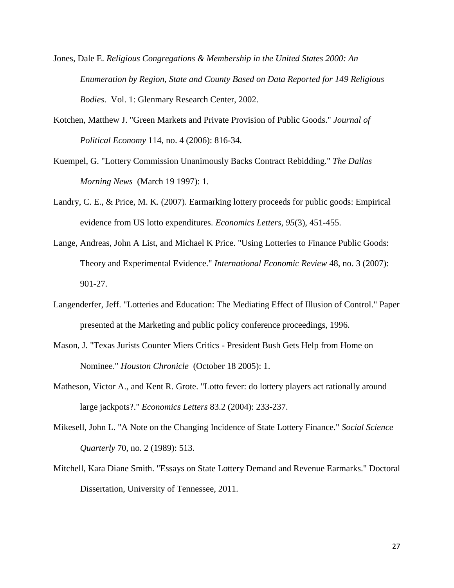- Jones, Dale E. *Religious Congregations & Membership in the United States 2000: An Enumeration by Region, State and County Based on Data Reported for 149 Religious Bodies*. Vol. 1: Glenmary Research Center, 2002.
- Kotchen, Matthew J. "Green Markets and Private Provision of Public Goods." *Journal of Political Economy* 114, no. 4 (2006): 816-34.
- Kuempel, G. "Lottery Commission Unanimously Backs Contract Rebidding." *The Dallas Morning News* (March 19 1997): 1.
- Landry, C. E., & Price, M. K. (2007). Earmarking lottery proceeds for public goods: Empirical evidence from US lotto expenditures. *Economics Letters, 95*(3), 451-455.
- Lange, Andreas, John A List, and Michael K Price. "Using Lotteries to Finance Public Goods: Theory and Experimental Evidence." *International Economic Review* 48, no. 3 (2007): 901-27.
- Langenderfer, Jeff. "Lotteries and Education: The Mediating Effect of Illusion of Control." Paper presented at the Marketing and public policy conference proceedings, 1996.
- Mason, J. "Texas Jurists Counter Miers Critics President Bush Gets Help from Home on Nominee." *Houston Chronicle* (October 18 2005): 1.
- Matheson, Victor A., and Kent R. Grote. "Lotto fever: do lottery players act rationally around large jackpots?." *Economics Letters* 83.2 (2004): 233-237.
- Mikesell, John L. "A Note on the Changing Incidence of State Lottery Finance." *Social Science Quarterly* 70, no. 2 (1989): 513.
- Mitchell, Kara Diane Smith. "Essays on State Lottery Demand and Revenue Earmarks." Doctoral Dissertation, University of Tennessee, 2011.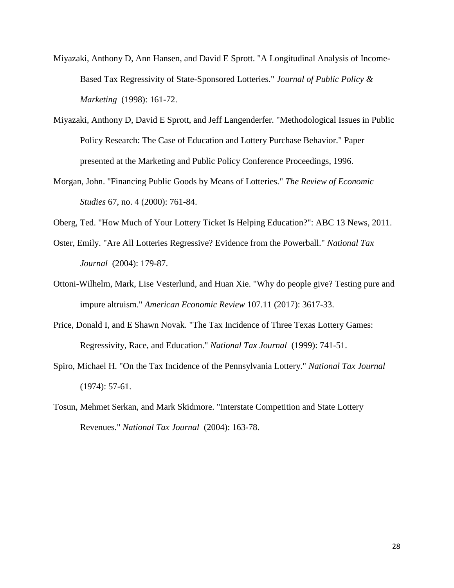- Miyazaki, Anthony D, Ann Hansen, and David E Sprott. "A Longitudinal Analysis of Income-Based Tax Regressivity of State-Sponsored Lotteries." *Journal of Public Policy & Marketing* (1998): 161-72.
- Miyazaki, Anthony D, David E Sprott, and Jeff Langenderfer. "Methodological Issues in Public Policy Research: The Case of Education and Lottery Purchase Behavior." Paper presented at the Marketing and Public Policy Conference Proceedings, 1996.
- Morgan, John. "Financing Public Goods by Means of Lotteries." *The Review of Economic Studies* 67, no. 4 (2000): 761-84.
- Oberg, Ted. "How Much of Your Lottery Ticket Is Helping Education?": ABC 13 News, 2011.
- Oster, Emily. "Are All Lotteries Regressive? Evidence from the Powerball." *National Tax Journal* (2004): 179-87.
- Ottoni-Wilhelm, Mark, Lise Vesterlund, and Huan Xie. "Why do people give? Testing pure and impure altruism." *American Economic Review* 107.11 (2017): 3617-33.
- Price, Donald I, and E Shawn Novak. "The Tax Incidence of Three Texas Lottery Games: Regressivity, Race, and Education." *National Tax Journal* (1999): 741-51.
- Spiro, Michael H. "On the Tax Incidence of the Pennsylvania Lottery." *National Tax Journal*  (1974): 57-61.
- Tosun, Mehmet Serkan, and Mark Skidmore. "Interstate Competition and State Lottery Revenues." *National Tax Journal* (2004): 163-78.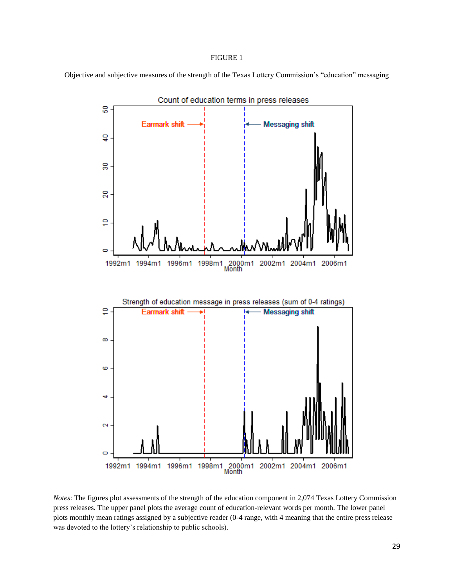#### FIGURE 1

Objective and subjective measures of the strength of the Texas Lottery Commission's "education" messaging



*Notes*: The figures plot assessments of the strength of the education component in 2,074 Texas Lottery Commission press releases. The upper panel plots the average count of education-relevant words per month. The lower panel plots monthly mean ratings assigned by a subjective reader (0-4 range, with 4 meaning that the entire press release was devoted to the lottery's relationship to public schools).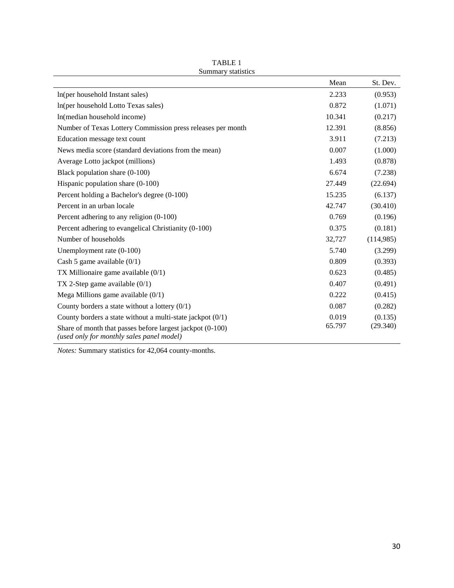|                                                                                                        | Mean   | St. Dev.  |
|--------------------------------------------------------------------------------------------------------|--------|-----------|
| In(per household Instant sales)                                                                        | 2.233  | (0.953)   |
| In(per household Lotto Texas sales)                                                                    | 0.872  | (1.071)   |
| In(median household income)                                                                            | 10.341 | (0.217)   |
| Number of Texas Lottery Commission press releases per month                                            | 12.391 | (8.856)   |
| Education message text count                                                                           | 3.911  | (7.213)   |
| News media score (standard deviations from the mean)                                                   | 0.007  | (1.000)   |
| Average Lotto jackpot (millions)                                                                       | 1.493  | (0.878)   |
| Black population share (0-100)                                                                         | 6.674  | (7.238)   |
| Hispanic population share $(0-100)$                                                                    | 27.449 | (22.694)  |
| Percent holding a Bachelor's degree (0-100)                                                            | 15.235 | (6.137)   |
| Percent in an urban locale                                                                             | 42.747 | (30.410)  |
| Percent adhering to any religion (0-100)                                                               | 0.769  | (0.196)   |
| Percent adhering to evangelical Christianity (0-100)                                                   | 0.375  | (0.181)   |
| Number of households                                                                                   | 32,727 | (114,985) |
| Unemployment rate $(0-100)$                                                                            | 5.740  | (3.299)   |
| Cash 5 game available $(0/1)$                                                                          | 0.809  | (0.393)   |
| TX Millionaire game available $(0/1)$                                                                  | 0.623  | (0.485)   |
| TX 2-Step game available $(0/1)$                                                                       | 0.407  | (0.491)   |
| Mega Millions game available $(0/1)$                                                                   | 0.222  | (0.415)   |
| County borders a state without a lottery $(0/1)$                                                       | 0.087  | (0.282)   |
| County borders a state without a multi-state jackpot $(0/1)$                                           | 0.019  | (0.135)   |
| Share of month that passes before largest jackpot (0-100)<br>(used only for monthly sales panel model) | 65.797 | (29.340)  |

TABLE 1 Summary statistics

*Notes:* Summary statistics for 42,064 county-months.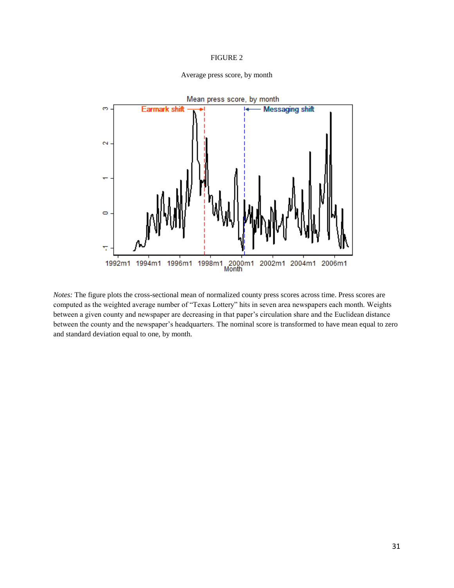#### FIGURE 2



Average press score, by month

*Notes:* The figure plots the cross-sectional mean of normalized county press scores across time. Press scores are computed as the weighted average number of "Texas Lottery" hits in seven area newspapers each month. Weights between a given county and newspaper are decreasing in that paper's circulation share and the Euclidean distance between the county and the newspaper's headquarters. The nominal score is transformed to have mean equal to zero and standard deviation equal to one, by month.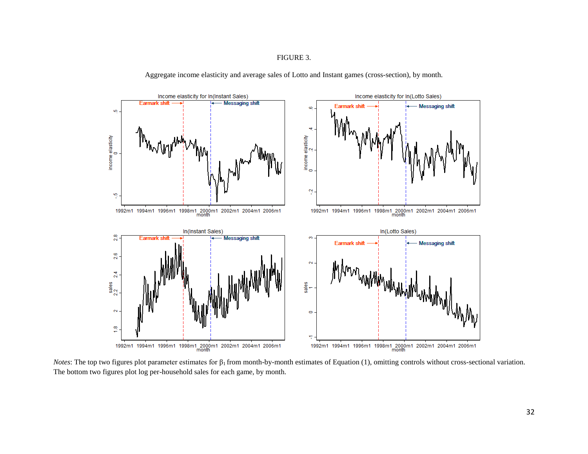FIGURE 3.



Aggregate income elasticity and average sales of Lotto and Instant games (cross-section), by month.

*Notes*: The top two figures plot parameter estimates for  $\beta_1$  from month-by-month estimates of Equation (1), omitting controls without cross-sectional variation. The bottom two figures plot log per-household sales for each game, by month.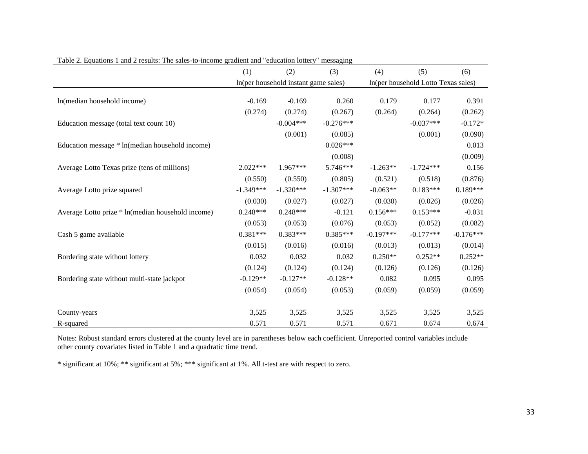|                                                   | (1)         | (2)                                  | (3)         | (4)                                 | (5)         | (6)         |
|---------------------------------------------------|-------------|--------------------------------------|-------------|-------------------------------------|-------------|-------------|
|                                                   |             | In(per household instant game sales) |             | In(per household Lotto Texas sales) |             |             |
| In(median household income)                       | $-0.169$    | $-0.169$                             | 0.260       | 0.179                               | 0.177       | 0.391       |
|                                                   | (0.274)     | (0.274)                              | (0.267)     | (0.264)                             | (0.264)     | (0.262)     |
| Education message (total text count 10)           |             | $-0.004***$                          | $-0.276***$ |                                     | $-0.037***$ | $-0.172*$   |
|                                                   |             | (0.001)                              | (0.085)     |                                     | (0.001)     | (0.090)     |
| Education message * ln(median household income)   |             |                                      | $0.026***$  |                                     |             | 0.013       |
|                                                   |             |                                      | (0.008)     |                                     |             | (0.009)     |
| Average Lotto Texas prize (tens of millions)      | 2.022***    | 1.967***                             | 5.746***    | $-1.263**$                          | $-1.724***$ | 0.156       |
|                                                   | (0.550)     | (0.550)                              | (0.805)     | (0.521)                             | (0.518)     | (0.876)     |
| Average Lotto prize squared                       | $-1.349***$ | $-1.320***$                          | $-1.307***$ | $-0.063**$                          | $0.183***$  | $0.189***$  |
|                                                   | (0.030)     | (0.027)                              | (0.027)     | (0.030)                             | (0.026)     | (0.026)     |
| Average Lotto prize * ln(median household income) | $0.248***$  | $0.248***$                           | $-0.121$    | $0.156***$                          | $0.153***$  | $-0.031$    |
|                                                   | (0.053)     | (0.053)                              | (0.076)     | (0.053)                             | (0.052)     | (0.082)     |
| Cash 5 game available                             | $0.381***$  | $0.383***$                           | $0.385***$  | $-0.197***$                         | $-0.177***$ | $-0.176***$ |
|                                                   | (0.015)     | (0.016)                              | (0.016)     | (0.013)                             | (0.013)     | (0.014)     |
| Bordering state without lottery                   | 0.032       | 0.032                                | 0.032       | $0.250**$                           | $0.252**$   | $0.252**$   |
|                                                   | (0.124)     | (0.124)                              | (0.124)     | (0.126)                             | (0.126)     | (0.126)     |
| Bordering state without multi-state jackpot       | $-0.129**$  | $-0.127**$                           | $-0.128**$  | 0.082                               | 0.095       | 0.095       |
|                                                   | (0.054)     | (0.054)                              | (0.053)     | (0.059)                             | (0.059)     | (0.059)     |
| County-years                                      | 3,525       | 3,525                                | 3,525       | 3,525                               | 3,525       | 3,525       |
| R-squared                                         | 0.571       | 0.571                                | 0.571       | 0.671                               | 0.674       | 0.674       |

Table 2. Equations 1 and 2 results: The sales-to-income gradient and "education lottery" messaging

Notes: Robust standard errors clustered at the county level are in parentheses below each coefficient. Unreported control variables include other county covariates listed in Table 1 and a quadratic time trend.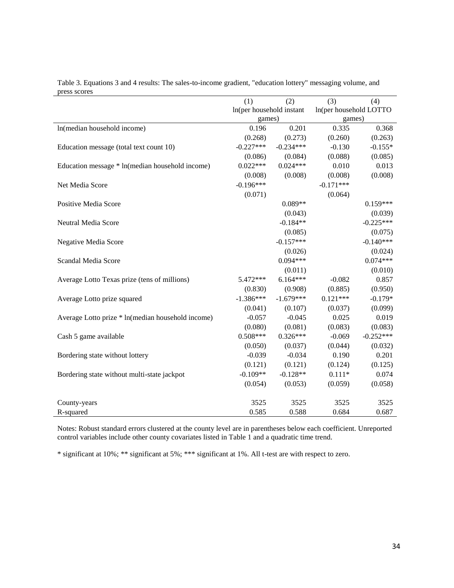| press scores                                      | (1)                      | (2)         | (3)                    | (4)         |  |
|---------------------------------------------------|--------------------------|-------------|------------------------|-------------|--|
|                                                   | In(per household instant |             | In(per household LOTTO |             |  |
|                                                   | games)                   |             | games)                 |             |  |
| In(median household income)                       | 0.196                    | 0.201       | 0.335                  | 0.368       |  |
|                                                   | (0.268)                  | (0.273)     | (0.260)                | (0.263)     |  |
| Education message (total text count 10)           | $-0.227***$              | $-0.234***$ | $-0.130$               | $-0.155*$   |  |
|                                                   | (0.086)                  | (0.084)     | (0.088)                | (0.085)     |  |
| Education message * ln(median household income)   | $0.022***$               | $0.024***$  | 0.010                  | 0.013       |  |
|                                                   | (0.008)                  | (0.008)     | (0.008)                | (0.008)     |  |
| Net Media Score                                   | $-0.196***$              |             | $-0.171***$            |             |  |
|                                                   | (0.071)                  |             | (0.064)                |             |  |
| Positive Media Score                              |                          | $0.089**$   |                        | $0.159***$  |  |
|                                                   |                          | (0.043)     |                        | (0.039)     |  |
| Neutral Media Score                               |                          | $-0.184**$  |                        | $-0.225***$ |  |
|                                                   |                          | (0.085)     |                        | (0.075)     |  |
| Negative Media Score                              |                          | $-0.157***$ |                        | $-0.140***$ |  |
|                                                   |                          | (0.026)     |                        | (0.024)     |  |
| Scandal Media Score                               |                          | $0.094***$  |                        | $0.074***$  |  |
|                                                   |                          | (0.011)     |                        | (0.010)     |  |
| Average Lotto Texas prize (tens of millions)      | 5.472 ***                | $6.164***$  | $-0.082$               | 0.857       |  |
|                                                   | (0.830)                  | (0.908)     | (0.885)                | (0.950)     |  |
| Average Lotto prize squared                       | $-1.386***$              | $-1.679***$ | $0.121***$             | $-0.179*$   |  |
|                                                   | (0.041)                  | (0.107)     | (0.037)                | (0.099)     |  |
| Average Lotto prize * ln(median household income) | $-0.057$                 | $-0.045$    | 0.025                  | 0.019       |  |
|                                                   | (0.080)                  | (0.081)     | (0.083)                | (0.083)     |  |
| Cash 5 game available                             | $0.508***$               | $0.326***$  | $-0.069$               | $-0.252***$ |  |
|                                                   | (0.050)                  | (0.037)     | (0.044)                | (0.032)     |  |
| Bordering state without lottery                   | $-0.039$                 | $-0.034$    | 0.190                  | 0.201       |  |
|                                                   | (0.121)                  | (0.121)     | (0.124)                | (0.125)     |  |
| Bordering state without multi-state jackpot       | $-0.109**$               | $-0.128**$  | $0.111*$               | 0.074       |  |
|                                                   | (0.054)                  | (0.053)     | (0.059)                | (0.058)     |  |
|                                                   |                          |             |                        |             |  |
| County-years                                      | 3525                     | 3525        | 3525                   | 3525        |  |
| R-squared                                         | 0.585                    | 0.588       | 0.684                  | 0.687       |  |

Table 3. Equations 3 and 4 results: The sales-to-income gradient, "education lottery" messaging volume, and press scores

Notes: Robust standard errors clustered at the county level are in parentheses below each coefficient. Unreported control variables include other county covariates listed in Table 1 and a quadratic time trend.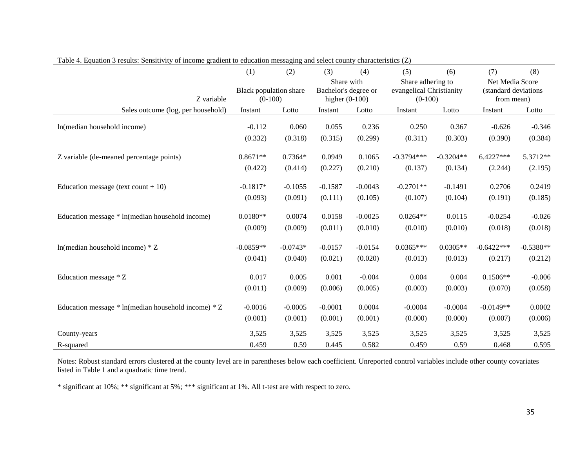|                                                         | (1)                                 | (2)        | (3)                                                    | (4)       | (5)                                                        | (6)         | (7)                                                   | (8)         |
|---------------------------------------------------------|-------------------------------------|------------|--------------------------------------------------------|-----------|------------------------------------------------------------|-------------|-------------------------------------------------------|-------------|
| Z variable                                              | Black population share<br>$(0-100)$ |            | Share with<br>Bachelor's degree or<br>higher $(0-100)$ |           | Share adhering to<br>evangelical Christianity<br>$(0-100)$ |             | Net Media Score<br>(standard deviations<br>from mean) |             |
| Sales outcome (log, per household)                      | Instant                             | Lotto      | Instant                                                | Lotto     | Instant                                                    | Lotto       | Instant                                               | Lotto       |
| In(median household income)                             | $-0.112$                            | 0.060      | 0.055                                                  | 0.236     | 0.250                                                      | 0.367       | $-0.626$                                              | $-0.346$    |
|                                                         | (0.332)                             | (0.318)    | (0.315)                                                | (0.299)   | (0.311)                                                    | (0.303)     | (0.390)                                               | (0.384)     |
| Z variable (de-meaned percentage points)                | $0.8671**$                          | $0.7364*$  | 0.0949                                                 | 0.1065    | $-0.3794***$                                               | $-0.3204**$ | 6.4227***                                             | 5.3712**    |
|                                                         | (0.422)                             | (0.414)    | (0.227)                                                | (0.210)   | (0.137)                                                    | (0.134)     | (2.244)                                               | (2.195)     |
| Education message (text count $\div 10$ )               | $-0.1817*$                          | $-0.1055$  | $-0.1587$                                              | $-0.0043$ | $-0.2701**$                                                | $-0.1491$   | 0.2706                                                | 0.2419      |
|                                                         | (0.093)                             | (0.091)    | (0.111)                                                | (0.105)   | (0.107)                                                    | (0.104)     | (0.191)                                               | (0.185)     |
| Education message * ln(median household income)         | $0.0180**$                          | 0.0074     | 0.0158                                                 | $-0.0025$ | $0.0264**$                                                 | 0.0115      | $-0.0254$                                             | $-0.026$    |
|                                                         | (0.009)                             | (0.009)    | (0.011)                                                | (0.010)   | (0.010)                                                    | (0.010)     | (0.018)                                               | (0.018)     |
| $ln(median household income) * Z$                       | $-0.0859**$                         | $-0.0743*$ | $-0.0157$                                              | $-0.0154$ | $0.0365***$                                                | $0.0305**$  | $-0.6422***$                                          | $-0.5380**$ |
|                                                         | (0.041)                             | (0.040)    | (0.021)                                                | (0.020)   | (0.013)                                                    | (0.013)     | (0.217)                                               | (0.212)     |
| Education message * Z                                   | 0.017                               | 0.005      | 0.001                                                  | $-0.004$  | 0.004                                                      | 0.004       | $0.1506**$                                            | $-0.006$    |
|                                                         | (0.011)                             | (0.009)    | (0.006)                                                | (0.005)   | (0.003)                                                    | (0.003)     | (0.070)                                               | (0.058)     |
| Education message $*$ ln(median household income) $*$ Z | $-0.0016$                           | $-0.0005$  | $-0.0001$                                              | 0.0004    | $-0.0004$                                                  | $-0.0004$   | $-0.0149**$                                           | 0.0002      |
|                                                         | (0.001)                             | (0.001)    | (0.001)                                                | (0.001)   | (0.000)                                                    | (0.000)     | (0.007)                                               | (0.006)     |
| County-years                                            | 3,525                               | 3,525      | 3,525                                                  | 3,525     | 3,525                                                      | 3,525       | 3,525                                                 | 3,525       |
| R-squared                                               | 0.459                               | 0.59       | 0.445                                                  | 0.582     | 0.459                                                      | 0.59        | 0.468                                                 | 0.595       |

Table 4. Equation 3 results: Sensitivity of income gradient to education messaging and select county characteristics (Z)

Notes: Robust standard errors clustered at the county level are in parentheses below each coefficient. Unreported control variables include other county covariates listed in Table 1 and a quadratic time trend.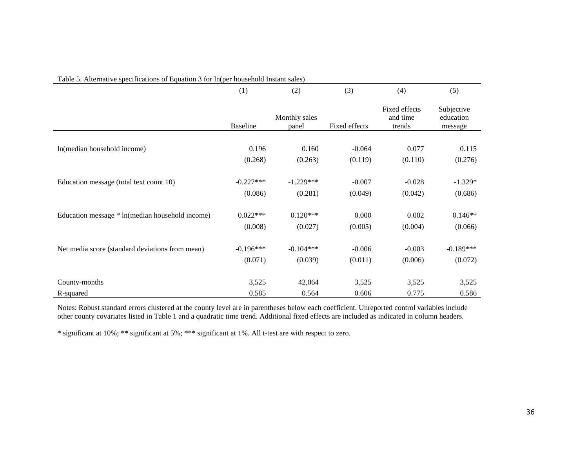| I able J. Alternative specifications of Equation J for infect household filstant safes) |                 |                        |               |                                     |                                    |  |
|-----------------------------------------------------------------------------------------|-----------------|------------------------|---------------|-------------------------------------|------------------------------------|--|
|                                                                                         | (1)             | (2)                    | (3)           | (4)                                 | (5)                                |  |
|                                                                                         | <b>Baseline</b> | Monthly sales<br>panel | Fixed effects | Fixed effects<br>and time<br>trends | Subjective<br>education<br>message |  |
|                                                                                         |                 |                        |               |                                     |                                    |  |
| In(median household income)                                                             | 0.196           | 0.160                  | $-0.064$      | 0.077                               | 0.115                              |  |
|                                                                                         | (0.268)         | (0.263)                | (0.119)       | (0.110)                             | (0.276)                            |  |
|                                                                                         |                 |                        |               |                                     |                                    |  |
| Education message (total text count 10)                                                 | $-0.227***$     | $-1.229***$            | $-0.007$      | $-0.028$                            | $-1.329*$                          |  |
|                                                                                         | (0.086)         | (0.281)                | (0.049)       | (0.042)                             | (0.686)                            |  |
| Education message * ln(median household income)                                         | $0.022***$      | $0.120***$             | 0.000         | 0.002                               | $0.146**$                          |  |
|                                                                                         | (0.008)         | (0.027)                | (0.005)       | (0.004)                             | (0.066)                            |  |
|                                                                                         |                 |                        |               |                                     |                                    |  |
| Net media score (standard deviations from mean)                                         | $-0.196***$     | $-0.104***$            | $-0.006$      | $-0.003$                            | $-0.189***$                        |  |
|                                                                                         | (0.071)         | (0.039)                | (0.011)       | (0.006)                             | (0.072)                            |  |
| County-months                                                                           | 3,525           | 42,064                 | 3,525         | 3,525                               | 3,525                              |  |
|                                                                                         |                 |                        |               |                                     |                                    |  |
| R-squared                                                                               | 0.585           | 0.564                  | 0.606         | 0.775                               | 0.586                              |  |

Table 5. Alternative specifications of Equation 3 for ln(per household Instant sales)

Notes: Robust standard errors clustered at the county level are in parentheses below each coefficient. Unreported control variables include other county covariates listed in Table 1 and a quadratic time trend. Additional fixed effects are included as indicated in column headers.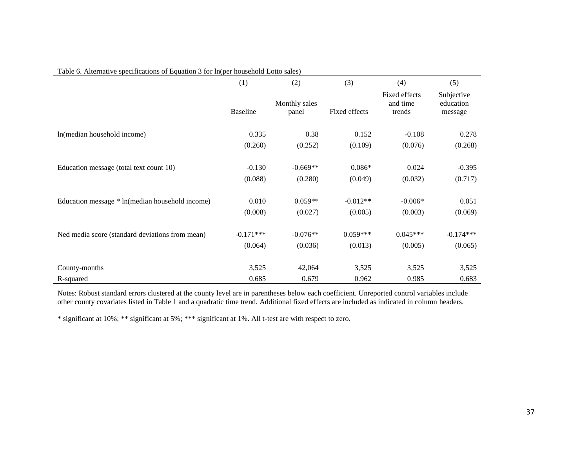|                                                 | (1)             | (2)                    | (3)           | (4)                                 | (5)                                |
|-------------------------------------------------|-----------------|------------------------|---------------|-------------------------------------|------------------------------------|
|                                                 | <b>Baseline</b> | Monthly sales<br>panel | Fixed effects | Fixed effects<br>and time<br>trends | Subjective<br>education<br>message |
|                                                 |                 |                        |               |                                     |                                    |
| In(median household income)                     | 0.335           | 0.38                   | 0.152         | $-0.108$                            | 0.278                              |
|                                                 | (0.260)         | (0.252)                | (0.109)       | (0.076)                             | (0.268)                            |
|                                                 |                 |                        |               |                                     |                                    |
| Education message (total text count 10)         | $-0.130$        | $-0.669**$             | $0.086*$      | 0.024                               | $-0.395$                           |
|                                                 | (0.088)         | (0.280)                | (0.049)       | (0.032)                             | (0.717)                            |
|                                                 |                 |                        |               |                                     |                                    |
| Education message * ln(median household income) | 0.010           | $0.059**$              | $-0.012**$    | $-0.006*$                           | 0.051                              |
|                                                 | (0.008)         | (0.027)                | (0.005)       | (0.003)                             | (0.069)                            |
|                                                 |                 |                        |               |                                     |                                    |
| Ned media score (standard deviations from mean) | $-0.171***$     | $-0.076**$             | $0.059***$    | $0.045***$                          | $-0.174***$                        |
|                                                 | (0.064)         | (0.036)                | (0.013)       | (0.005)                             | (0.065)                            |
|                                                 |                 |                        |               |                                     |                                    |
| County-months                                   | 3,525           | 42,064                 | 3,525         | 3,525                               | 3,525                              |
| R-squared                                       | 0.685           | 0.679                  | 0.962         | 0.985                               | 0.683                              |

#### Table 6. Alternative specifications of Equation 3 for ln(per household Lotto sales)

Notes: Robust standard errors clustered at the county level are in parentheses below each coefficient. Unreported control variables include other county covariates listed in Table 1 and a quadratic time trend. Additional fixed effects are included as indicated in column headers.